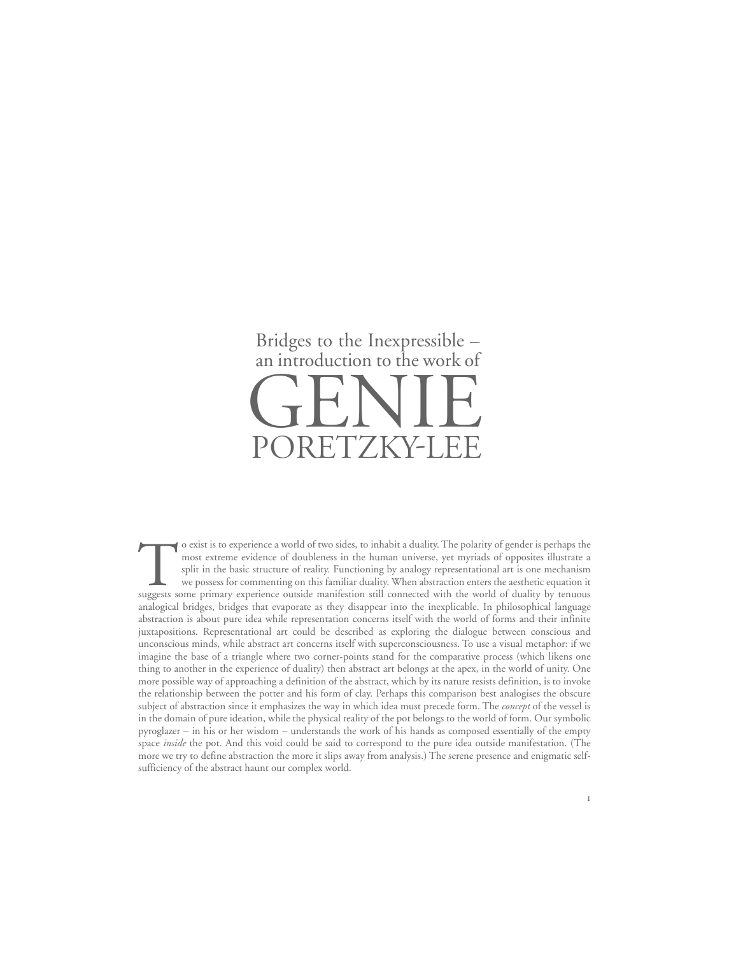## an introduction to the work of Bridges to the Inexpressible – PORETZKY-LEE

To exist is to experience a world of two sides, to inhabit a duality. The polarity of gender is perhaps the most extreme evidence of doubleness in the human universe, yet myriads of opposites illustrate a split in the basic structure of reality. Functioning by analogy representational art is one mechanism we possess for commenting on this familiar duality. When abstraction enters the aesthetic equation it suggests some primary experience outside manifestion still connected with the world of duality by tenuous analogical bridges, bridges that evaporate as they disappear into the inexplicable. In philosophical language abstraction is about pure idea while representation concerns itself with the world of forms and their infinite juxtapositions. Representational art could be described as exploring the dialogue between conscious and unconscious minds, while abstract art concerns itself with superconsciousness. To use a visual metaphor: if we imagine the base of a triangle where two corner-points stand for the comparative process (which likens one thing to another in the experience of duality) then abstract art belongs at the apex, in the world of unity. One more possible way of approaching a definition of the abstract, which by its nature resists definition, is to invoke the relationship between the potter and his form of clay. Perhaps this comparison best analogises the obscure subject of abstraction since it emphasizes the way in which idea must precede form. The *concept* of the vessel is in the domain of pure ideation, while the physical reality of the pot belongs to the world of form. Our symbolic pyroglazer – in his or her wisdom – understands the work of his hands as composed essentially of the empty space *inside* the pot. And this void could be said to correspond to the pure idea outside manifestation. (The more we try to define abstraction the more it slips away from analysis.) The serene presence and enigmatic selfsufficiency of the abstract haunt our complex world.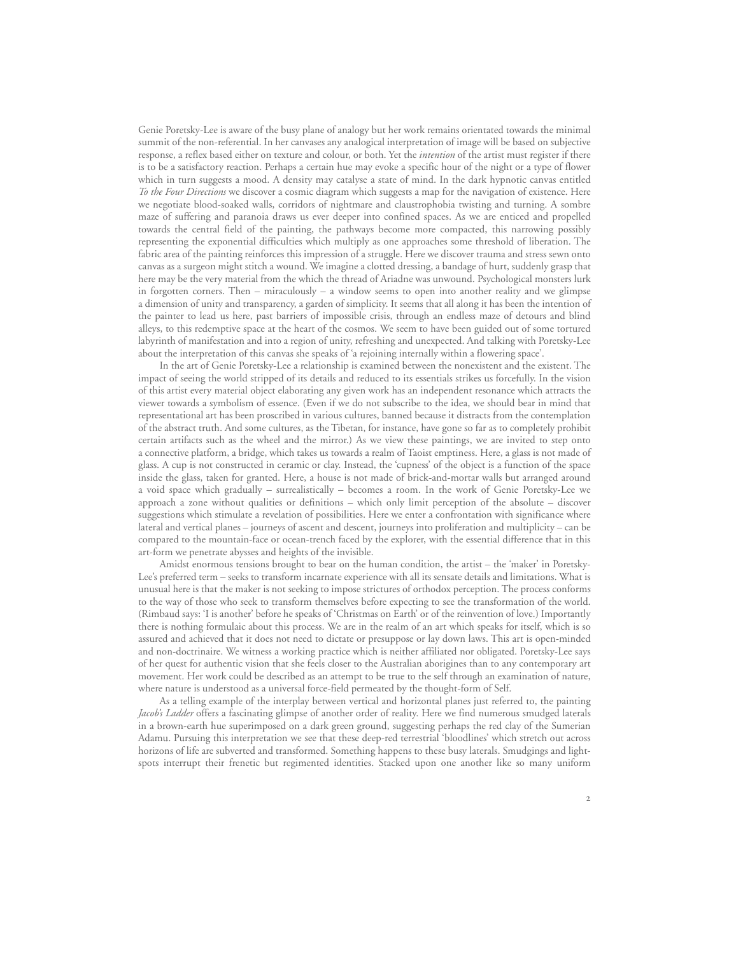Genie Poretsky-Lee is aware of the busy plane of analogy but her work remains orientated towards the minimal summit of the non-referential. In her canvases any analogical interpretation of image will be based on subjective response, a reflex based either on texture and colour, or both. Yet the *intention* of the artist must register if there is to be a satisfactory reaction. Perhaps a certain hue may evoke a specific hour of the night or a type of flower which in turn suggests a mood. A density may catalyse a state of mind. In the dark hypnotic canvas entitled *To the Four Directions* we discover a cosmic diagram which suggests a map for the navigation of existence. Here we negotiate blood-soaked walls, corridors of nightmare and claustrophobia twisting and turning. A sombre maze of suffering and paranoia draws us ever deeper into confined spaces. As we are enticed and propelled towards the central field of the painting, the pathways become more compacted, this narrowing possibly representing the exponential difficulties which multiply as one approaches some threshold of liberation. The fabric area of the painting reinforces this impression of a struggle. Here we discover trauma and stress sewn onto canvas as a surgeon might stitch a wound. We imagine a clotted dressing, a bandage of hurt, suddenly grasp that here may be the very material from the which the thread of Ariadne was unwound. Psychological monsters lurk in forgotten corners. Then – miraculously – a window seems to open into another reality and we glimpse a dimension of unity and transparency, a garden of simplicity. It seems that all along it has been the intention of the painter to lead us here, past barriers of impossible crisis, through an endless maze of detours and blind alleys, to this redemptive space at the heart of the cosmos. We seem to have been guided out of some tortured labyrinth of manifestation and into a region of unity, refreshing and unexpected. And talking with Poretsky-Lee about the interpretation of this canvas she speaks of 'a rejoining internally within a flowering space'.

In the art of Genie Poretsky-Lee a relationship is examined between the nonexistent and the existent. The impact of seeing the world stripped of its details and reduced to its essentials strikes us forcefully. In the vision of this artist every material object elaborating any given work has an independent resonance which attracts the viewer towards a symbolism of essence. (Even if we do not subscribe to the idea, we should bear in mind that representational art has been proscribed in various cultures, banned because it distracts from the contemplation of the abstract truth. And some cultures, as the Tibetan, for instance, have gone so far as to completely prohibit certain artifacts such as the wheel and the mirror.) As we view these paintings, we are invited to step onto a connective platform, a bridge, which takes us towards a realm of Taoist emptiness. Here, a glass is not made of glass. A cup is not constructed in ceramic or clay. Instead, the 'cupness' of the object is a function of the space inside the glass, taken for granted. Here, a house is not made of brick-and-mortar walls but arranged around a void space which gradually – surrealistically – becomes a room. In the work of Genie Poretsky-Lee we approach a zone without qualities or definitions – which only limit perception of the absolute – discover suggestions which stimulate a revelation of possibilities. Here we enter a confrontation with significance where lateral and vertical planes – journeys of ascent and descent, journeys into proliferation and multiplicity – can be compared to the mountain-face or ocean-trench faced by the explorer, with the essential difference that in this art-form we penetrate abysses and heights of the invisible.

Amidst enormous tensions brought to bear on the human condition, the artist – the 'maker' in Poretsky-Lee's preferred term – seeks to transform incarnate experience with all its sensate details and limitations. What is unusual here is that the maker is not seeking to impose strictures of orthodox perception. The process conforms to the way of those who seek to transform themselves before expecting to see the transformation of the world. (Rimbaud says: 'I is another' before he speaks of 'Christmas on Earth' or of the reinvention of love.) Importantly there is nothing formulaic about this process. We are in the realm of an art which speaks for itself, which is so assured and achieved that it does not need to dictate or presuppose or lay down laws. This art is open-minded and non-doctrinaire. We witness a working practice which is neither affiliated nor obligated. Poretsky-Lee says of her quest for authentic vision that she feels closer to the Australian aborigines than to any contemporary art movement. Her work could be described as an attempt to be true to the self through an examination of nature, where nature is understood as a universal force-field permeated by the thought-form of Self.

As a telling example of the interplay between vertical and horizontal planes just referred to, the painting *Jacob's Ladder* offers a fascinating glimpse of another order of reality. Here we find numerous smudged laterals in a brown-earth hue superimposed on a dark green ground, suggesting perhaps the red clay of the Sumerian Adamu. Pursuing this interpretation we see that these deep-red terrestrial 'bloodlines' which stretch out across horizons of life are subverted and transformed. Something happens to these busy laterals. Smudgings and lightspots interrupt their frenetic but regimented identities. Stacked upon one another like so many uniform